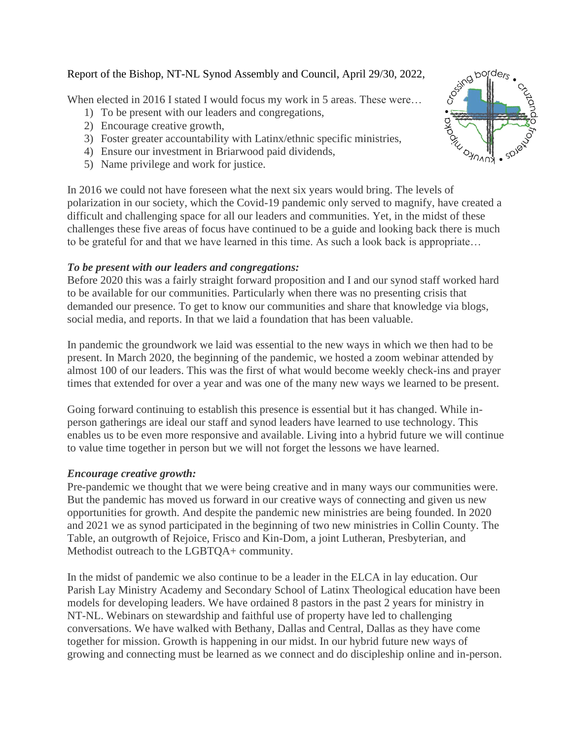# Report of the Bishop, NT-NL Synod Assembly and Council, April 29/30, 2022,

When elected in 2016 I stated I would focus my work in 5 areas. These were...

- 1) To be present with our leaders and congregations,
- 2) Encourage creative growth,
- 3) Foster greater accountability with Latinx/ethnic specific ministries,
- 4) Ensure our investment in Briarwood paid dividends,
- 5) Name privilege and work for justice.

In 2016 we could not have foreseen what the next six years would bring. The levels of polarization in our society, which the Covid-19 pandemic only served to magnify, have created a difficult and challenging space for all our leaders and communities. Yet, in the midst of these challenges these five areas of focus have continued to be a guide and looking back there is much to be grateful for and that we have learned in this time. As such a look back is appropriate…

# *To be present with our leaders and congregations:*

Before 2020 this was a fairly straight forward proposition and I and our synod staff worked hard to be available for our communities. Particularly when there was no presenting crisis that demanded our presence. To get to know our communities and share that knowledge via blogs, social media, and reports. In that we laid a foundation that has been valuable.

In pandemic the groundwork we laid was essential to the new ways in which we then had to be present. In March 2020, the beginning of the pandemic, we hosted a zoom webinar attended by almost 100 of our leaders. This was the first of what would become weekly check-ins and prayer times that extended for over a year and was one of the many new ways we learned to be present.

Going forward continuing to establish this presence is essential but it has changed. While inperson gatherings are ideal our staff and synod leaders have learned to use technology. This enables us to be even more responsive and available. Living into a hybrid future we will continue to value time together in person but we will not forget the lessons we have learned.

# *Encourage creative growth:*

Pre-pandemic we thought that we were being creative and in many ways our communities were. But the pandemic has moved us forward in our creative ways of connecting and given us new opportunities for growth. And despite the pandemic new ministries are being founded. In 2020 and 2021 we as synod participated in the beginning of two new ministries in Collin County. The Table, an outgrowth of Rejoice, Frisco and Kin-Dom, a joint Lutheran, Presbyterian, and Methodist outreach to the LGBTQA+ community.

In the midst of pandemic we also continue to be a leader in the ELCA in lay education. Our Parish Lay Ministry Academy and Secondary School of Latinx Theological education have been models for developing leaders. We have ordained 8 pastors in the past 2 years for ministry in NT-NL. Webinars on stewardship and faithful use of property have led to challenging conversations. We have walked with Bethany, Dallas and Central, Dallas as they have come together for mission. Growth is happening in our midst. In our hybrid future new ways of growing and connecting must be learned as we connect and do discipleship online and in-person.

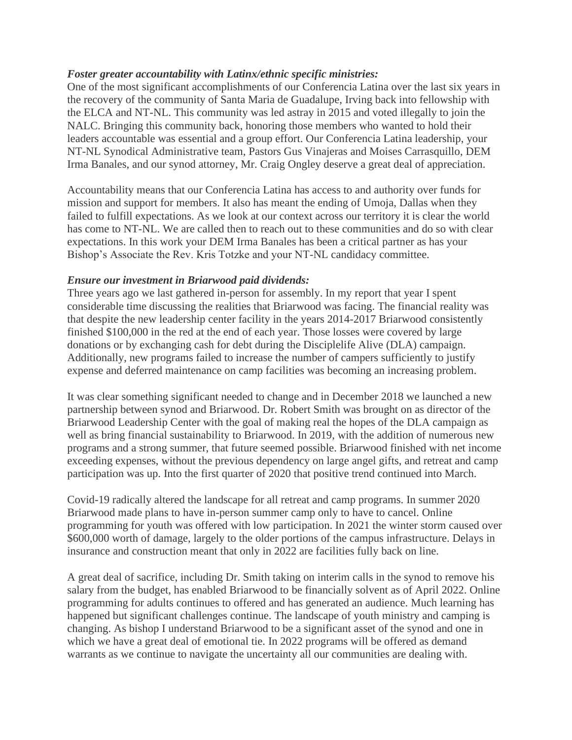### *Foster greater accountability with Latinx/ethnic specific ministries:*

One of the most significant accomplishments of our Conferencia Latina over the last six years in the recovery of the community of Santa Maria de Guadalupe, Irving back into fellowship with the ELCA and NT-NL. This community was led astray in 2015 and voted illegally to join the NALC. Bringing this community back, honoring those members who wanted to hold their leaders accountable was essential and a group effort. Our Conferencia Latina leadership, your NT-NL Synodical Administrative team, Pastors Gus Vinajeras and Moises Carrasquillo, DEM Irma Banales, and our synod attorney, Mr. Craig Ongley deserve a great deal of appreciation.

Accountability means that our Conferencia Latina has access to and authority over funds for mission and support for members. It also has meant the ending of Umoja, Dallas when they failed to fulfill expectations. As we look at our context across our territory it is clear the world has come to NT-NL. We are called then to reach out to these communities and do so with clear expectations. In this work your DEM Irma Banales has been a critical partner as has your Bishop's Associate the Rev. Kris Totzke and your NT-NL candidacy committee.

#### *Ensure our investment in Briarwood paid dividends:*

Three years ago we last gathered in-person for assembly. In my report that year I spent considerable time discussing the realities that Briarwood was facing. The financial reality was that despite the new leadership center facility in the years 2014-2017 Briarwood consistently finished \$100,000 in the red at the end of each year. Those losses were covered by large donations or by exchanging cash for debt during the Disciplelife Alive (DLA) campaign. Additionally, new programs failed to increase the number of campers sufficiently to justify expense and deferred maintenance on camp facilities was becoming an increasing problem.

It was clear something significant needed to change and in December 2018 we launched a new partnership between synod and Briarwood. Dr. Robert Smith was brought on as director of the Briarwood Leadership Center with the goal of making real the hopes of the DLA campaign as well as bring financial sustainability to Briarwood. In 2019, with the addition of numerous new programs and a strong summer, that future seemed possible. Briarwood finished with net income exceeding expenses, without the previous dependency on large angel gifts, and retreat and camp participation was up. Into the first quarter of 2020 that positive trend continued into March.

Covid-19 radically altered the landscape for all retreat and camp programs. In summer 2020 Briarwood made plans to have in-person summer camp only to have to cancel. Online programming for youth was offered with low participation. In 2021 the winter storm caused over \$600,000 worth of damage, largely to the older portions of the campus infrastructure. Delays in insurance and construction meant that only in 2022 are facilities fully back on line.

A great deal of sacrifice, including Dr. Smith taking on interim calls in the synod to remove his salary from the budget, has enabled Briarwood to be financially solvent as of April 2022. Online programming for adults continues to offered and has generated an audience. Much learning has happened but significant challenges continue. The landscape of youth ministry and camping is changing. As bishop I understand Briarwood to be a significant asset of the synod and one in which we have a great deal of emotional tie. In 2022 programs will be offered as demand warrants as we continue to navigate the uncertainty all our communities are dealing with.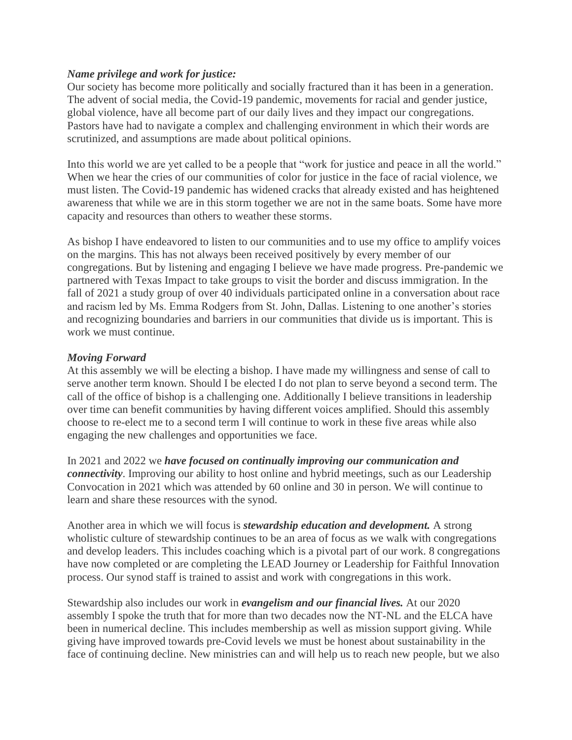#### *Name privilege and work for justice:*

Our society has become more politically and socially fractured than it has been in a generation. The advent of social media, the Covid-19 pandemic, movements for racial and gender justice, global violence, have all become part of our daily lives and they impact our congregations. Pastors have had to navigate a complex and challenging environment in which their words are scrutinized, and assumptions are made about political opinions.

Into this world we are yet called to be a people that "work for justice and peace in all the world." When we hear the cries of our communities of color for justice in the face of racial violence, we must listen. The Covid-19 pandemic has widened cracks that already existed and has heightened awareness that while we are in this storm together we are not in the same boats. Some have more capacity and resources than others to weather these storms.

As bishop I have endeavored to listen to our communities and to use my office to amplify voices on the margins. This has not always been received positively by every member of our congregations. But by listening and engaging I believe we have made progress. Pre-pandemic we partnered with Texas Impact to take groups to visit the border and discuss immigration. In the fall of 2021 a study group of over 40 individuals participated online in a conversation about race and racism led by Ms. Emma Rodgers from St. John, Dallas. Listening to one another's stories and recognizing boundaries and barriers in our communities that divide us is important. This is work we must continue.

### *Moving Forward*

At this assembly we will be electing a bishop. I have made my willingness and sense of call to serve another term known. Should I be elected I do not plan to serve beyond a second term. The call of the office of bishop is a challenging one. Additionally I believe transitions in leadership over time can benefit communities by having different voices amplified. Should this assembly choose to re-elect me to a second term I will continue to work in these five areas while also engaging the new challenges and opportunities we face.

In 2021 and 2022 we *have focused on continually improving our communication and connectivity*. Improving our ability to host online and hybrid meetings, such as our Leadership Convocation in 2021 which was attended by 60 online and 30 in person. We will continue to learn and share these resources with the synod.

Another area in which we will focus is *stewardship education and development.* A strong wholistic culture of stewardship continues to be an area of focus as we walk with congregations and develop leaders. This includes coaching which is a pivotal part of our work. 8 congregations have now completed or are completing the LEAD Journey or Leadership for Faithful Innovation process. Our synod staff is trained to assist and work with congregations in this work.

Stewardship also includes our work in *evangelism and our financial lives.* At our 2020 assembly I spoke the truth that for more than two decades now the NT-NL and the ELCA have been in numerical decline. This includes membership as well as mission support giving. While giving have improved towards pre-Covid levels we must be honest about sustainability in the face of continuing decline. New ministries can and will help us to reach new people, but we also